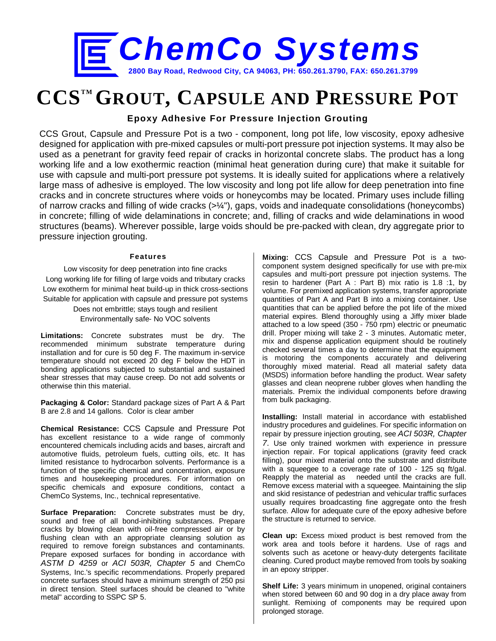

# **CCSTM GROUT, CAPSULE AND PRESSURE POT**

## **Epoxy Adhesive For Pressure Injection Grouting**

CCS Grout, Capsule and Pressure Pot is a two - component, long pot life, low viscosity, epoxy adhesive designed for application with pre-mixed capsules or multi-port pressure pot injection systems. It may also be used as a penetrant for gravity feed repair of cracks in horizontal concrete slabs. The product has a long working life and a low exothermic reaction (minimal heat generation during cure) that make it suitable for use with capsule and multi-port pressure pot systems. It is ideally suited for applications where a relatively large mass of adhesive is employed. The low viscosity and long pot life allow for deep penetration into fine cracks and in concrete structures where voids or honeycombs may be located. Primary uses include filling of narrow cracks and filling of wide cracks (>¼"), gaps, voids and inadequate consolidations (honeycombs) in concrete; filling of wide delaminations in concrete; and, filling of cracks and wide delaminations in wood structures (beams). Wherever possible, large voids should be pre-packed with clean, dry aggregate prior to pressure injection grouting.

#### **Features**

Low viscosity for deep penetration into fine cracks Long working life for filling of large voids and tributary cracks Low exotherm for minimal heat build-up in thick cross-sections Suitable for application with capsule and pressure pot systems Does not embrittle; stays tough and resilient Environmentally safe- No VOC solvents

**Limitations:** Concrete substrates must be dry. The recommended minimum substrate temperature during installation and for cure is 50 deg F. The maximum in-service temperature should not exceed 20 deg F below the HDT in bonding applications subjected to substantial and sustained shear stresses that may cause creep. Do not add solvents or otherwise thin this material.

**Packaging & Color:** Standard package sizes of Part A & Part B are 2.8 and 14 gallons. Color is clear amber

**Chemical Resistance:** CCS Capsule and Pressure Pot has excellent resistance to a wide range of commonly encountered chemicals including acids and bases, aircraft and automotive fluids, petroleum fuels, cutting oils, etc. It has limited resistance to hydrocarbon solvents. Performance is a function of the specific chemical and concentration, exposure times and housekeeping procedures. For information on specific chemicals and exposure conditions, contact a ChemCo Systems, Inc., technical representative.

**Surface Preparation:** Concrete substrates must be dry, sound and free of all bond-inhibiting substances. Prepare cracks by blowing clean with oil-free compressed air or by flushing clean with an appropriate cleansing solution as required to remove foreign substances and contaminants. Prepare exposed surfaces for bonding in accordance with *ASTM D 4259* or *ACI 503R, Chapter 5* and ChemCo Systems, Inc.'s specific recommendations. Properly prepared concrete surfaces should have a minimum strength of 250 psi in direct tension. Steel surfaces should be cleaned to "white metal" according to SSPC SP 5.

**Mixing:** CCS Capsule and Pressure Pot is a twocomponent system designed specifically for use with pre-mix capsules and multi-port pressure pot injection systems. The resin to hardener (Part A : Part B) mix ratio is 1.8 :1, by volume. For premixed application systems, transfer appropriate quantities of Part A and Part B into a mixing container. Use quantities that can be applied before the pot life of the mixed material expires. Blend thoroughly using a Jiffy mixer blade attached to a low speed (350 - 750 rpm) electric or pneumatic drill. Proper mixing will take 2 - 3 minutes. Automatic meter, mix and dispense application equipment should be routinely checked several times a day to determine that the equipment is motoring the components accurately and delivering thoroughly mixed material. Read all material safety data (MSDS) information before handling the product. Wear safety glasses and clean neoprene rubber gloves when handling the materials. Premix the individual components before drawing from bulk packaging.

**Installing:** Install material in accordance with established industry procedures and guidelines. For specific information on repair by pressure injection grouting, see *ACI 503R, Chapter 7*. Use only trained workmen with experience in pressure injection repair. For topical applications (gravity feed crack filling), pour mixed material onto the substrate and distribute with a squeegee to a coverage rate of 100 - 125 sq ft/gal. Reapply the material as needed until the cracks are full. Remove excess material with a squeegee. Maintaining the slip and skid resistance of pedestrian and vehicular traffic surfaces usually requires broadcasting fine aggregate onto the fresh surface. Allow for adequate cure of the epoxy adhesive before the structure is returned to service.

**Clean up:** Excess mixed product is best removed from the work area and tools before it hardens. Use of rags and solvents such as acetone or heavy-duty detergents facilitate cleaning. Cured product maybe removed from tools by soaking in an epoxy stripper.

**Shelf Life:** 3 years minimum in unopened, original containers when stored between 60 and 90 dog in a dry place away from sunlight. Remixing of components may be required upon prolonged storage.